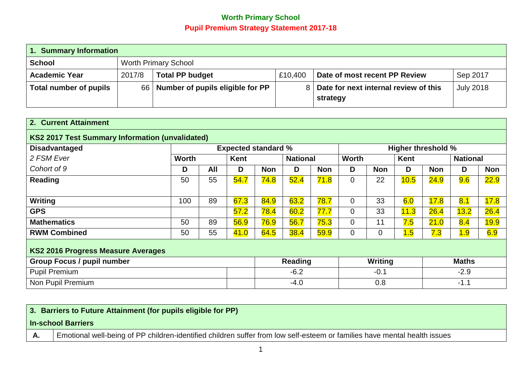## **Worth Primary School Pupil Premium Strategy Statement 2017-18**

| 1. Summary Information                       |                        |                                     |                               |                                       |  |  |  |  |
|----------------------------------------------|------------------------|-------------------------------------|-------------------------------|---------------------------------------|--|--|--|--|
| <b>Worth Primary School</b><br><b>School</b> |                        |                                     |                               |                                       |  |  |  |  |
| 2017/8                                       | <b>Total PP budget</b> | £10,400                             | Date of most recent PP Review | Sep 2017                              |  |  |  |  |
|                                              |                        |                                     | strategy                      | <b>July 2018</b>                      |  |  |  |  |
|                                              |                        | 66 Number of pupils eligible for PP |                               | Date for next internal review of this |  |  |  |  |

| 2. Current Attainment                                  |                                                         |     |      |            |                 |            |                |                |      |            |                 |            |
|--------------------------------------------------------|---------------------------------------------------------|-----|------|------------|-----------------|------------|----------------|----------------|------|------------|-----------------|------------|
| <b>KS2 2017 Test Summary Information (unvalidated)</b> |                                                         |     |      |            |                 |            |                |                |      |            |                 |            |
| <b>Disadvantaged</b>                                   | <b>Higher threshold %</b><br><b>Expected standard %</b> |     |      |            |                 |            |                |                |      |            |                 |            |
| 2 FSM Ever                                             | <b>Worth</b>                                            |     | Kent |            | <b>National</b> |            | <b>Worth</b>   |                | Kent |            | <b>National</b> |            |
| Cohort of 9                                            | D                                                       | All | D    | <b>Non</b> | D               | <b>Non</b> | D              | <b>Non</b>     | D    | <b>Non</b> | D               | <b>Non</b> |
| <b>Reading</b>                                         | 50                                                      | 55  | 54.7 | 74.8       | 52.4            | 71.8       | $\overline{0}$ | 22             | 10.5 | 24.9       | 9.6             | 22.9       |
|                                                        |                                                         |     |      |            |                 |            |                |                |      |            |                 |            |
| Writing                                                | 100                                                     | 89  | 67.3 | 84.9       | 63.2            | 78.7       | $\Omega$       | 33             | 6.0  | 17.8       | 8.1             | 17.8       |
| <b>GPS</b>                                             |                                                         |     | 57.2 | 78.4       | 60.2            | 77.7       | $\overline{0}$ | 33             | 11.3 | 26.4       | 13.2            | 26.4       |
| <b>Mathematics</b>                                     | 50                                                      | 89  | 56.9 | 76.9       | 56.7            | 75.3       | $\overline{0}$ | 11             | 7.5  | 21.0       | 8.4             | 19.9       |
| <b>RWM Combined</b>                                    | 50                                                      | 55  | 41.0 | 64.5       | 38.4            | 59.9       | 0              | $\overline{0}$ | 1.5  | 7.3        | 1.9             | 6.9        |
| <b>KS2 2016 Progress Measure Averages</b>              |                                                         |     |      |            |                 |            |                |                |      |            |                 |            |
| <b>Group Focus / pupil number</b>                      |                                                         |     |      |            | Reading         |            |                | Writing        |      |            | <b>Maths</b>    |            |
| <b>Pupil Premium</b>                                   |                                                         |     |      |            | $-6.2$          |            |                | $-0.1$         |      |            | $-2.9$          |            |
| Non Pupil Premium                                      |                                                         |     |      |            | $-4.0$          |            |                | 0.8            |      |            | $-1.1$          |            |

| 3. Barriers to Future Attainment (for pupils eligible for PP) |                                                                                                                           |  |  |  |  |
|---------------------------------------------------------------|---------------------------------------------------------------------------------------------------------------------------|--|--|--|--|
| <b>In-school Barriers</b>                                     |                                                                                                                           |  |  |  |  |
| Α.                                                            | Emotional well-being of PP children-identified children suffer from low self-esteem or families have mental health issues |  |  |  |  |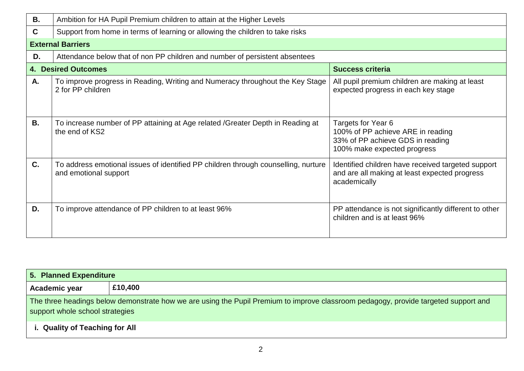| В.          | Ambition for HA Pupil Premium children to attain at the Higher Levels                                       |                                                                                                                            |  |  |  |  |  |  |
|-------------|-------------------------------------------------------------------------------------------------------------|----------------------------------------------------------------------------------------------------------------------------|--|--|--|--|--|--|
| $\mathbf c$ | Support from home in terms of learning or allowing the children to take risks                               |                                                                                                                            |  |  |  |  |  |  |
|             | <b>External Barriers</b>                                                                                    |                                                                                                                            |  |  |  |  |  |  |
| D.          | Attendance below that of non PP children and number of persistent absentees                                 |                                                                                                                            |  |  |  |  |  |  |
|             | <b>4. Desired Outcomes</b>                                                                                  | <b>Success criteria</b>                                                                                                    |  |  |  |  |  |  |
| Α.          | To improve progress in Reading, Writing and Numeracy throughout the Key Stage<br>2 for PP children          | All pupil premium children are making at least<br>expected progress in each key stage                                      |  |  |  |  |  |  |
| <b>B.</b>   | To increase number of PP attaining at Age related / Greater Depth in Reading at<br>the end of KS2           | Targets for Year 6<br>100% of PP achieve ARE in reading<br>33% of PP achieve GDS in reading<br>100% make expected progress |  |  |  |  |  |  |
| C.          | To address emotional issues of identified PP children through counselling, nurture<br>and emotional support | Identified children have received targeted support<br>and are all making at least expected progress<br>academically        |  |  |  |  |  |  |
| D.          | To improve attendance of PP children to at least 96%                                                        | PP attendance is not significantly different to other<br>children and is at least 96%                                      |  |  |  |  |  |  |

| 5. Planned Expenditure         |                                                                                                                                                                        |  |  |  |  |  |
|--------------------------------|------------------------------------------------------------------------------------------------------------------------------------------------------------------------|--|--|--|--|--|
| £10,400<br>Academic year       |                                                                                                                                                                        |  |  |  |  |  |
|                                | The three headings below demonstrate how we are using the Pupil Premium to improve classroom pedagogy, provide targeted support and<br>support whole school strategies |  |  |  |  |  |
| i. Quality of Teaching for All |                                                                                                                                                                        |  |  |  |  |  |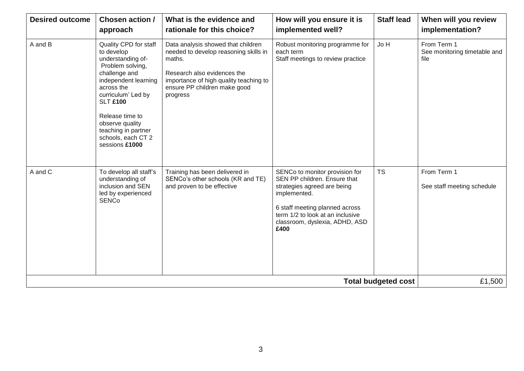| <b>Desired outcome</b>                                                                                           | Chosen action /<br>approach                                                                                                                                                                                                                                                                                                                                                                                                                                                                     | What is the evidence and<br>rationale for this choice?                                            | How will you ensure it is<br>implemented well?                                                                                                                                                                                | <b>Staff lead</b> | When will you review<br>implementation?             |
|------------------------------------------------------------------------------------------------------------------|-------------------------------------------------------------------------------------------------------------------------------------------------------------------------------------------------------------------------------------------------------------------------------------------------------------------------------------------------------------------------------------------------------------------------------------------------------------------------------------------------|---------------------------------------------------------------------------------------------------|-------------------------------------------------------------------------------------------------------------------------------------------------------------------------------------------------------------------------------|-------------------|-----------------------------------------------------|
| A and B                                                                                                          | Quality CPD for staff<br>Data analysis showed that children<br>needed to develop reasoning skills in<br>to develop<br>understanding of-<br>maths.<br>Problem solving,<br>challenge and<br>Research also evidences the<br>independent learning<br>importance of high quality teaching to<br>across the<br>ensure PP children make good<br>curriculum' Led by<br>progress<br><b>SLT £100</b><br>Release time to<br>observe quality<br>teaching in partner<br>schools, each CT 2<br>sessions £1000 |                                                                                                   | Robust monitoring programme for<br>each term<br>Staff meetings to review practice                                                                                                                                             | Jo H              | From Term 1<br>See monitoring timetable and<br>file |
| A and C<br>To develop all staff's<br>understanding of<br>inclusion and SEN<br>led by experienced<br><b>SENCo</b> |                                                                                                                                                                                                                                                                                                                                                                                                                                                                                                 | Training has been delivered in<br>SENCo's other schools (KR and TE)<br>and proven to be effective | SENCo to monitor provision for<br>SEN PP children. Ensure that<br>strategies agreed are being<br>implemented.<br>6 staff meeting planned across<br>term 1/2 to look at an inclusive<br>classroom, dyslexia, ADHD, ASD<br>£400 | <b>TS</b>         | From Term 1<br>See staff meeting schedule           |
|                                                                                                                  | £1,500                                                                                                                                                                                                                                                                                                                                                                                                                                                                                          |                                                                                                   |                                                                                                                                                                                                                               |                   |                                                     |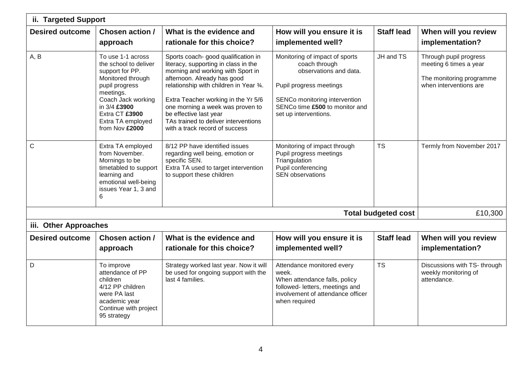| ii. Targeted Support                                                                                                                                                                                                     |                                                                                                                                         |                                                                                                                                                                                                                                                                                                                                                                           |                                                                                                                                                                                                  |                   |                                                                                                        |  |  |  |
|--------------------------------------------------------------------------------------------------------------------------------------------------------------------------------------------------------------------------|-----------------------------------------------------------------------------------------------------------------------------------------|---------------------------------------------------------------------------------------------------------------------------------------------------------------------------------------------------------------------------------------------------------------------------------------------------------------------------------------------------------------------------|--------------------------------------------------------------------------------------------------------------------------------------------------------------------------------------------------|-------------------|--------------------------------------------------------------------------------------------------------|--|--|--|
| <b>Desired outcome</b><br>Chosen action /<br>approach                                                                                                                                                                    |                                                                                                                                         | What is the evidence and<br>rationale for this choice?                                                                                                                                                                                                                                                                                                                    | How will you ensure it is<br>implemented well?                                                                                                                                                   |                   | When will you review<br>implementation?                                                                |  |  |  |
| A, B<br>To use 1-1 across<br>the school to deliver<br>support for PP.<br>Monitored through<br>pupil progress<br>meetings.<br>Coach Jack working<br>in 3/4 £3900<br>Extra CT £3900<br>Extra TA employed<br>from Nov £2000 |                                                                                                                                         | Sports coach- good qualification in<br>literacy, supporting in class in the<br>morning and working with Sport in<br>afternoon. Already has good<br>relationship with children in Year 3/4.<br>Extra Teacher working in the Yr 5/6<br>one morning a week was proven to<br>be effective last year<br>TAs trained to deliver interventions<br>with a track record of success | Monitoring of impact of sports<br>coach through<br>observations and data.<br>Pupil progress meetings<br>SENCo monitoring intervention<br>SENCo time £500 to monitor and<br>set up interventions. | JH and TS         | Through pupil progress<br>meeting 6 times a year<br>The monitoring programme<br>when interventions are |  |  |  |
| C<br>Extra TA employed<br>from November.<br>Mornings to be<br>timetabled to support<br>learning and<br>emotional well-being<br>issues Year 1, 3 and<br>6                                                                 |                                                                                                                                         | 8/12 PP have identified issues<br>regarding well being, emotion or<br>specific SEN.<br>Extra TA used to target intervention<br>to support these children                                                                                                                                                                                                                  | Monitoring of impact through<br>Pupil progress meetings<br>Triangulation<br>Pupil conferencing<br><b>SEN observations</b>                                                                        |                   | Termly from November 2017                                                                              |  |  |  |
|                                                                                                                                                                                                                          | <b>Total budgeted cost</b>                                                                                                              |                                                                                                                                                                                                                                                                                                                                                                           |                                                                                                                                                                                                  |                   |                                                                                                        |  |  |  |
| iii. Other Approaches                                                                                                                                                                                                    |                                                                                                                                         |                                                                                                                                                                                                                                                                                                                                                                           |                                                                                                                                                                                                  |                   |                                                                                                        |  |  |  |
| <b>Desired outcome</b>                                                                                                                                                                                                   | Chosen action /<br>approach                                                                                                             | What is the evidence and<br>rationale for this choice?                                                                                                                                                                                                                                                                                                                    | How will you ensure it is<br>implemented well?                                                                                                                                                   | <b>Staff lead</b> | When will you review<br>implementation?                                                                |  |  |  |
| D                                                                                                                                                                                                                        | To improve<br>attendance of PP<br>children<br>4/12 PP children<br>were PA last<br>academic year<br>Continue with project<br>95 strategy | Strategy worked last year. Now it will<br>be used for ongoing support with the<br>last 4 families.                                                                                                                                                                                                                                                                        | Attendance monitored every<br>week.<br>When attendance falls, policy<br>followed- letters, meetings and<br>involvement of attendance officer<br>when required                                    | <b>TS</b>         | Discussions with TS- through<br>weekly monitoring of<br>attendance.                                    |  |  |  |